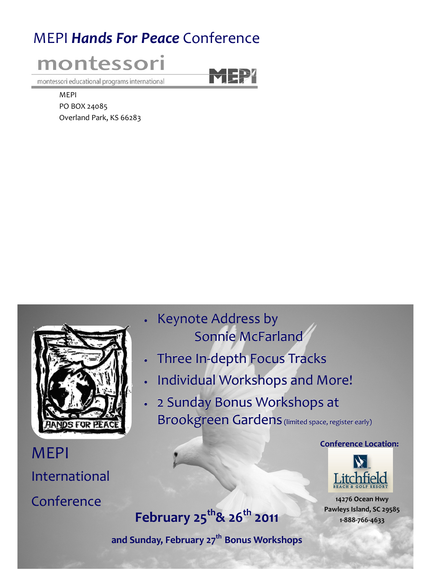# MEPI Hands For Peace Conference



MEPI

PO BOX 24085 Overland Park, KS 66283



MEPI International Conference

- Keynote Address by Sonnie McFarland
- Three In-depth Focus Tracks
- Individual Workshops and More!
- 2 Sunday Bonus Workshops at Brookgreen Gardens (limited space, register early)

Conference Location:



14276 Ocean Hwy Pawleys Island, SC 29585 1-888-766-4633

# February  $25^{th}$ &  $26^{th}$  2011

and Sunday, February 27<sup>th</sup> Bonus Workshops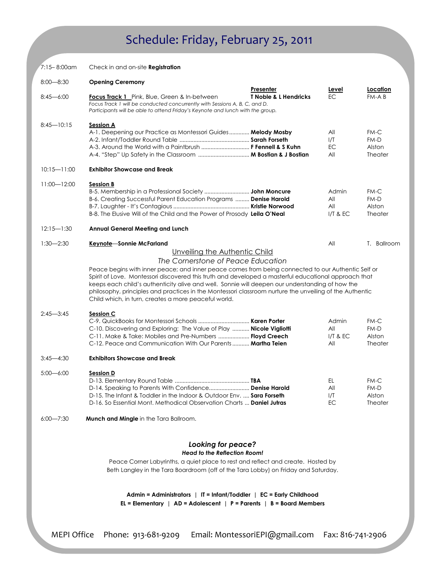# Schedule: Friday, February 25, 2011

| 7:15-8:00am     | Check in and on-site Registration                                                                                                                                                                                                                                                                                                                                                                                                                                                |                                  |                   |                          |
|-----------------|----------------------------------------------------------------------------------------------------------------------------------------------------------------------------------------------------------------------------------------------------------------------------------------------------------------------------------------------------------------------------------------------------------------------------------------------------------------------------------|----------------------------------|-------------------|--------------------------|
| $8:00 - 8:30$   | <b>Opening Ceremony</b>                                                                                                                                                                                                                                                                                                                                                                                                                                                          | Presenter                        | <u>Level</u>      | Location                 |
| $8:45 - 6:00$   | <b>Focus Track 1</b> Pink, Blue, Green & In-between<br>Focus Track 1 will be conducted concurrently with Sessions A, B, C, and D.<br>Participants will be able to attend Friday's Keynote and lunch with the group.                                                                                                                                                                                                                                                              | <b>T Noble &amp; L Hendricks</b> | EC.               | FM-AB                    |
| $8:45 - 10:15$  | Session A<br>A-1. Deepening our Practice as Montessori Guides Melody Mosby                                                                                                                                                                                                                                                                                                                                                                                                       |                                  | All               | FM-C                     |
|                 |                                                                                                                                                                                                                                                                                                                                                                                                                                                                                  |                                  | I/T               | FM-D                     |
|                 | A-3. Around the World with a Paintbrush  F Fennell & S Kuhn                                                                                                                                                                                                                                                                                                                                                                                                                      |                                  | <b>EC</b><br>All  | Alston<br>Theater        |
| $10:15 - 11:00$ | <b>Exhibitor Showcase and Break</b>                                                                                                                                                                                                                                                                                                                                                                                                                                              |                                  |                   |                          |
| $11:00 - 12:00$ | <b>Session B</b>                                                                                                                                                                                                                                                                                                                                                                                                                                                                 |                                  |                   |                          |
|                 |                                                                                                                                                                                                                                                                                                                                                                                                                                                                                  |                                  | Admin             | FM-C                     |
|                 | B-6. Creating Successful Parent Education Programs  Denise Harold                                                                                                                                                                                                                                                                                                                                                                                                                |                                  | All               | FM-D                     |
|                 | B-8. The Elusive Will of the Child and the Power of Prosody Leila O'Neal                                                                                                                                                                                                                                                                                                                                                                                                         |                                  | All<br>$I/T$ & EC | Alston<br><b>Theater</b> |
| $12:15 - 1:30$  | <b>Annual General Meeting and Lunch</b>                                                                                                                                                                                                                                                                                                                                                                                                                                          |                                  |                   |                          |
| $1:30 - 2:30$   | Keynote-Sonnie McFarland                                                                                                                                                                                                                                                                                                                                                                                                                                                         |                                  | All               | T. Ballroom              |
|                 | Unveiling the Authentic Child                                                                                                                                                                                                                                                                                                                                                                                                                                                    |                                  |                   |                          |
|                 | The Cornerstone of Peace Education                                                                                                                                                                                                                                                                                                                                                                                                                                               |                                  |                   |                          |
|                 | Peace begins with inner peace; and inner peace comes from being connected to our Authentic Self or<br>Spirit of Love. Montessori discovered this truth and developed a masterful educational approach that<br>keeps each child's authenticity alive and well. Sonnie will deepen our understanding of how the<br>philosophy, principles and practices in the Montessori classroom nurture the unveiling of the Authentic<br>Child which, in turn, creates a more peaceful world. |                                  |                   |                          |
| $2:45 - 3:45$   | <b>Session C</b>                                                                                                                                                                                                                                                                                                                                                                                                                                                                 |                                  |                   |                          |
|                 |                                                                                                                                                                                                                                                                                                                                                                                                                                                                                  |                                  | Admin             | FM-C                     |
|                 | C-10. Discovering and Exploring: The Value of Play <b>Nicole Vigliotti</b><br>C-11. Make & Take: Mobiles and Pre-Numbers <b>Floyd Creech</b>                                                                                                                                                                                                                                                                                                                                     |                                  | All<br>$I/T$ & EC | FM-D<br>Alston           |
|                 | C-12. Peace and Communication With Our Parents  Martha Teien                                                                                                                                                                                                                                                                                                                                                                                                                     |                                  | All               | Theater                  |
| $3:45 - 4:30$   | <b>Exhibitors Showcase and Break</b>                                                                                                                                                                                                                                                                                                                                                                                                                                             |                                  |                   |                          |
| $5:00 - 6:00$   | <b>Session D</b>                                                                                                                                                                                                                                                                                                                                                                                                                                                                 |                                  |                   |                          |
|                 |                                                                                                                                                                                                                                                                                                                                                                                                                                                                                  |                                  | EL                | FM-C                     |
|                 | D-14. Speaking to Parents With Confidence Denise Harold                                                                                                                                                                                                                                                                                                                                                                                                                          |                                  | All               | FM-D                     |
|                 | D-15. The Infant & Toddler in the Indoor & Outdoor Env.  Sara Forseth<br>D-16. So Essential Mont. Methodical Observation Charts  Daniel Jutras                                                                                                                                                                                                                                                                                                                                   |                                  | I/T<br>EC         | Alston<br>Theater        |
| $6:00 - 7:30$   | Munch and Mingle in the Tara Ballroom.                                                                                                                                                                                                                                                                                                                                                                                                                                           |                                  |                   |                          |
|                 |                                                                                                                                                                                                                                                                                                                                                                                                                                                                                  |                                  |                   |                          |
|                 | Looking for peace?<br><b>Head to the Reflection Room!</b>                                                                                                                                                                                                                                                                                                                                                                                                                        |                                  |                   |                          |
|                 | Peace Corner Labyrinths, a quiet place to rest and reflect and create. Hosted by                                                                                                                                                                                                                                                                                                                                                                                                 |                                  |                   |                          |
|                 | Beth Langley in the Tara Boardroom (off of the Tara Lobby) on Friday and Saturday.                                                                                                                                                                                                                                                                                                                                                                                               |                                  |                   |                          |
|                 |                                                                                                                                                                                                                                                                                                                                                                                                                                                                                  |                                  |                   |                          |
|                 | Admin = Administrators   IT = Infant/Toddler   EC = Early Childhood<br>EL = Elementary   AD = Adolescent   $P =$ Parents   B = Board Members                                                                                                                                                                                                                                                                                                                                     |                                  |                   |                          |

MEPI Office Phone: 913-681-9209 Email: MontessoriEPI@gmail.com Fax: 816-741-2906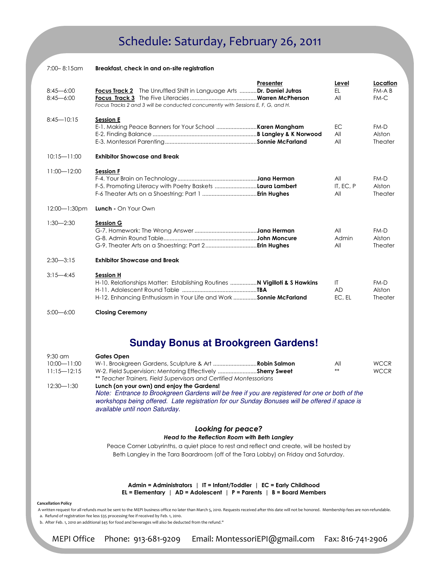### Schedule: Saturday, February 26, 2011

| $7:00 - 8:15$ am               | Breakfast, check in and on-site registration                                                                                                                           |                                     |                              |
|--------------------------------|------------------------------------------------------------------------------------------------------------------------------------------------------------------------|-------------------------------------|------------------------------|
| $8:45 - 6:00$<br>$8:45 - 6:00$ | Presenter<br>Focus Track 2 The Unruffled Shift in Language Arts Dr. Daniel Jutras<br>Focus Tracks 2 and 3 will be conducted concurrently with Sessions E, F, G, and H. | Level<br>FL.<br>All                 | Location<br>FM-A B<br>$FM-C$ |
| $8:45 - 10:15$                 | <b>Session E</b>                                                                                                                                                       | ЕC.<br>All<br>All                   | $FM-D$<br>Alston<br>Theater  |
| $10:15 - 11:00$                | <b>Exhibitor Showcase and Break</b>                                                                                                                                    |                                     |                              |
| $11:00 - 12:00$                | <b>Session F</b><br>F-5. Promoting Literacy with Poetry Baskets <b>Laura Lambert</b>                                                                                   | All<br>IT, EC, P<br>All             | $FM-D$<br>Alston<br>Theater  |
| $12:00 - 1:30$ pm              | Lunch - On Your Own                                                                                                                                                    |                                     |                              |
| $1:30 - 2:30$                  | <b>Session G</b>                                                                                                                                                       | All<br>Admin<br>All                 | $FM-D$<br>Alston<br>Theater  |
| $2:30-3:15$                    | <b>Exhibitor Showcase and Break</b>                                                                                                                                    |                                     |                              |
| $3:15 - 4:45$                  | <b>Session H</b><br>H-10. Relationships Matter: Establishing Routines  N Vigilloti & S Hawkins<br>H-12. Enhancing Enthusiasm in Your Life and Work  Sonnie McFarland   | $\mathsf{I}$<br><b>AD</b><br>EC, EL | $FM-D$<br>Alston<br>Theater  |
| $5:00 - 6:00$                  | <b>Closing Ceremony</b>                                                                                                                                                |                                     |                              |

### **Sunday Bonus at Brookgreen Gardens!**

| $9:30$ am       | <b>Gates Open</b>                                                                                                                                                                                                                 |     |             |  |
|-----------------|-----------------------------------------------------------------------------------------------------------------------------------------------------------------------------------------------------------------------------------|-----|-------------|--|
| $10:00 - 11:00$ |                                                                                                                                                                                                                                   | All | <b>WCCR</b> |  |
| $11:15 - 12:15$ | W-2. Field Supervision: Mentoring Effectively Sherry Sweet                                                                                                                                                                        | **  | <b>WCCR</b> |  |
|                 | ** Teacher Trainers, Field Supervisors and Certified Montessorians                                                                                                                                                                |     |             |  |
| $12:30 - 1:30$  | Lunch (on your own) and enjoy the Gardens!                                                                                                                                                                                        |     |             |  |
|                 | Note: Entrance to Brookgreen Gardens will be free if you are registered for one or both of the<br>workshops being offered. Late registration for our Sunday Bonuses will be offered if space is<br>available until noon Saturday. |     |             |  |
|                 | $1 - 11 - 12 - 12$                                                                                                                                                                                                                |     |             |  |

#### Looking for peace? Head to the Reflection Room with Beth Langley

Peace Corner Labyrinths, a quiet place to rest and reflect and create, will be hosted by Beth Langley in the Tara Boardroom (off of the Tara Lobby) on Friday and Saturday.

Admin = Administrators | IT = Infant/Toddler | EC = Early Childhood EL = Elementary | AD = Adolescent | P = Parents | B = Board Members

#### Cancellation Policy

 A written request for all refunds must be sent to the MEPI business office no later than March 5, 2010. Requests received after this date will not be honored. Membership fees are non-refundable. a. Refund of registration fee less \$35 processing fee if received by Feb. 1, 2010.

b. After Feb. 1, 2010 an additional \$45 for food and beverages will also be deducted from the refund."

MEPI Office Phone: 913-681-9209 Email: MontessoriEPI@gmail.com Fax: 816-741-2906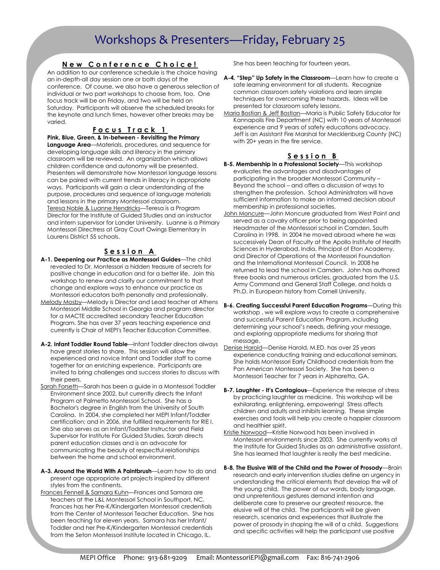### Workshops & Presenters—Friday, February 25

#### New Conference Choice!

An addition to our conference schedule is the choice having an in-depth-all day session one or both days of the conference. Of course, we also have a generous selection of individual or two part workshops to choose from, too. One focus track will be on Friday, and two will be held on Saturday. Participants will observe the scheduled breaks for the keynote and lunch times, however other breaks may be varied.

#### Focus Track 1

Pink, Blue, Green, & In-between - Revisiting the Primary Language Area—Materials, procedures, and sequence for developing language skills and literacy in the primary classroom will be reviewed. An organization which allows children confidence and autonomy will be presented. Presenters will demonstrate how Montessori language lessons can be paired with current trends in literacy in appropriate ways. Participants will gain a clear understanding of the purpose, procedures and sequence of language materials and lessons in the primary Montessori classroom. Teresa Noble & Luanne Hendricks—Teresa is a Program Director for the Institute of Guided Studies and an instructor and intern supervisor for Lander University. Luanne is a Primary Montessori Directress at Gray Court Owings Elementary in Laurens District 55 schools.

#### Session A

- A-1. Deepening our Practice as Montessori Guides—The child revealed to Dr. Montessori a hidden treasure of secrets for positive change in education and for a better life. Join this workshop to renew and clarify our commitment to that change and explore ways to enhance our practice as Montessori educators both personally and professionally.
- Melody Mosby—Melody is Director and Lead teacher at Athens Montessori Middle School in Georgia and program director for a MACTE accredited secondary Teacher Education Program. She has over 37 years teaching experience and currently is Chair of MEPI's Teacher Education Committee.
- A-2. Infant Toddler Round Table—Infant Toddler directors always have great stories to share. This session will allow the experienced and novice Infant and Toddler staff to come together for an enriching experience. Participants are invited to bring challenges and success stories to discuss with their peers.
- Sarah Forseth—Sarah has been a guide in a Montessori Toddler Environment since 2002, but currently directs the Infant Program at Palmetto Montessori School. She has a Bachelor's degree in English from the University of South Carolina. In 2004, she completed her MEPI Infant/Toddler certification; and in 2006, she fulfilled requirements for RIE I. She also serves as an Infant/Toddler Instructor and Field Supervisor for Institute For Guided Studies. Sarah directs parent education classes and is an advocate for communicating the beauty of respectful relationships between the home and school environment.
- A-3. Around the World With A Paintbrush—Learn how to do and present age appropriate art projects inspired by different styles from the continents.
- Frances Fennell & Samara Kuhn—Frances and Samara are teachers at the L&L Montessori School in Southport, NC. Frances has her Pre-K/Kindergarten Montessori credentials from the Center of Montessori Teacher Education. She has been teaching for eleven years. Samara has her Infant/ Toddler and her Pre-K/Kindergarten Montessori credentials from the Seton Montessori Institute located in Chicago, IL.

She has been teaching for fourteen years.

- A-4. "Step" Up Safety in the Classroom-Learn how to create a safe learning environment for all students. Recognize common classroom safety violations and learn simple techniques for overcoming these hazards. Ideas will be presented for classroom safety lessons.
- Maria Bostian & Jeff Bostian—Maria is Public Safety Educator for Kannapolis Fire Department (NC) with 10 years of Montessori experience and 9 years of safety educations advocacy. Jeff is an Assistant Fire Marshal for Mecklenburg County (NC) with 20+ years in the fire service.

#### Session B

- B-5. Membership in a Professional Society-This workshop evaluates the advantages and disadvantages of participating in the broader Montessori Community – Beyond the school – and offers a discussion of ways to strengthen the profession. School Administrators will have sufficient information to make an informed decision about membership in professional societies.
- John Moncure-John Moncure graduated from West Point and served as a cavalry officer prior to being appointed Headmaster of the Montessori school in Camden, South Carolina in 1998. In 2004 he moved abroad where he was successively Dean of Faculty at the Apollo Institute of Health Sciences in Hyderabad, India, Principal of Eton Academy, and Director of Operations of the Montessori Foundation and the International Montessori Council. In 2008 he returned to lead the school in Camden. John has authored three books and numerous articles, graduated from the U.S. Army Command and General Staff College, and holds a Ph.D. in European history from Cornell University.
- B-6. Creating Successful Parent Education Programs—During this workshop , we will explore ways to create a comprehensive and successful Parent Education Program, including determining your school's needs, defining your message, and exploring appropriate mediums for sharing that message.
- Denise Harold—Denise Harold, M.ED. has over 25 years experience conducting training and educational seminars. She holds Montessori Early Childhood credentials from the Pan American Montessori Society. She has been a Montessori Teacher for 7 years in Alpharetta, GA.
- B-7. Laughter It's Contagious-Experience the release of stress by practicing laughter as medicine. This workshop will be exhilarating, enlightening, empowering! Stress affects children and adults and inhibits learning. These simple exercises and tools will help you create a happier classroom and healthier spirit.
- Kristie Norwood—Kristie Norwood has been involved in Montessori environments since 2003. She currently works at the Institute for Guided Studies as an administrative assistant. She has learned that laughter is really the best medicine.
- B-8. The Elusive Will of the Child and the Power of Prosody—Brain research and early intervention studies define an urgency in understanding the critical elements that develop the will of the young child. The power of our words, body language, and unpretentious gestures demand intention and deliberate care to preserve our greatest resource, the elusive will of the child. The participants will be given research, scenarios and experiences that illustrate the power of prosody in shaping the will of a child. Suggestions and specific activities will help the participant use positive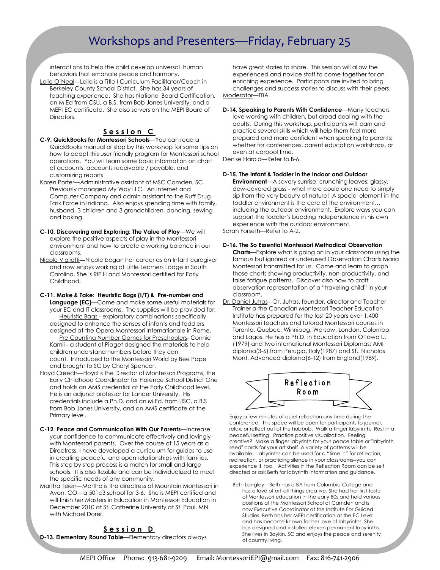### Workshops and Presenters—Friday, February 25

interactions to help the child develop universal human behaviors that emanate peace and harmony.

Leila O'Neal—Leila is a Title I Curriculum Facilitator/Coach in Berkeley County School District. She has 34 years of teaching experience. She has National Board Certification, an M Ed from CSU, a B.S. from Bob Jones University, and a MEPI EC certificate. She also servers on the MEPI Board of **Directors** 

#### Session C

- C-9. QuickBooks for Montessori Schools—You can read a QuickBooks manual or stop by this workshop for some tips on how to adapt this user friendly program for Montessori school operations. You will learn some basic information on chart of accounts, accounts receivable / payable, and customizing reports
- Karen Porter—Administrative assistant of MSC Camden, SC. Previously managed My Way LLC. An Internet and Computer Company and admin assistant to the Ruff Drug Task Force in Indiana. Also enjoys spending time with family, husband, 3 children and 3 grandchildren, dancing, sewing and baking.
- C-10. Discovering and Exploring: The Value of Play—We will explore the positive aspects of play in the Montessori environment and how to create a working balance in our classrooms.
- Nicole Vigliotti—Nicole began her career as an Infant caregiver and now enjoys working at Little Learners Lodge in South Carolina. She is RIE III and Montessori certified for Early Childhood.

#### C-11. Make & Take: Heuristic Bags (I/T) & Pre-number and

Language (EC)-Come and make some useful materials for your EC and IT classrooms. The supplies will be provided for: Heuristic Bags - exploratory combinations specifically designed to enhance the senses of infants and toddlers designed at the Opera Montessori Internationale in Rome.

Pre Counting Number Games for Preschoolers- Connie Kamii - a student of Piaget designed the materials to help children understand numbers before they can count. Introduced to the Montessori World by Bee Pape and brought to SC by Cheryl Spencer.

- Floyd Creech—Floyd is the Director of Montessori Programs, the Early Childhood Coordinator for Florence School District One and holds an AMS credential at the Early Childhood level. He is an adjunct professor for Lander University. His credentials include a Ph.D. and an M.Ed. from USC, a B.S from Bob Jones University, and an AMS certificate at the Primary level.
- C-12. Peace and Communication With Our Parents—Increase your confidence to communicate effectively and lovingly with Montessori parents. Over the course of 15 years as a Directress, I have developed a curriculum for guides to use in creating peaceful and open relationships with families. This step by step process is a match for small and large schools. It is also flexible and can be individualized to meet the specific needs of any community.
- Martha Teien—Martha is the directress of Mountain Montessori in Avon, CO – a 501c3 school for 3-6. She is MEPI certified and will finish her Masters in Education in Montessori Education in December 2010 at St. Catherine University at St. Paul, MN with Michael Dorer.

#### Session D

D-13. Elementary Round Table—Elementary directors always

have great stories to share. This session will allow the experienced and novice staff to come together for an enriching experience. Participants are invited to bring challenges and success stories to discuss with their peers. Moderator—TBA

D-14. Speaking to Parents With Confidence-Many teachers love working with children, but dread dealing with the adults. During this workshop, participants will learn and practice several skills which will help them feel more prepared and more confident when speaking to parents; whether for conferences, parent education workshops, or even at carpool time.

Denise Harold—Refer to B-6.

#### D-15. The Infant & Toddler in the Indoor and Outdoor

Environment—A savory sunrise; crunching leaves; glassy, dew-covered grass - what more could one need to simply sip from the very beauty of nature! A special element in the toddler environment is the care of the environment… including the outdoor environment. Explore ways you can support the toddler's budding independence in his own experience with the outdoor environment. Sarah Forseth—Refer to A-2.

#### D-16. The So Essential Montessori Methodical Observation

Charts—Explore what is going on in your classroom using the famous but ignored or underused Observation Charts Maria Montessori transmitted for us. Come and learn to graph those charts showing productivity, non-productivity, and false fatigue patterns. Discover also how to craft observation representation of a "traveling child" in your classroom.

Dr. Daniel Jutras—Dr. Jutras, founder, director and Teacher Trainer a the Canadian Montessori Teacher Education Institute has prepared for the last 20 years over 1,400 Montessori teachers and tutored Montessori courses in Toronto, Quebec, Winnipeg, Warsaw, London, Colombo, and Lagos. He has a Ph.D. in Education from Ottawa U. (1979) and two international Montessori Diplomas: AMI diploma(3-6) from Perugia, Italy(1987) and St,. Nicholas Mont. Advanced diploma(6-12) from England(1989).



Enjoy a few minutes of quiet reflection any time during the conference. This space will be open for participants to journal, relax, or reflect out of the hubbub. Walk a finger labyrinth. Rest in a peaceful setting. Practice positive visualization. Feeling creative? Make a finger labyrinth for your peace table or "labyrinth seed" cards for your art shelf. A variety of patterns will be available. Labyrinths can be used for a "time in" for reflection, redirection, or practicing silence in your classrooms--you can experience it, too. Activities in the Reflection Room can be self directed or ask Beth for labyrinth information and guidance.

Beth Langley—Beth has a BA from Columbia College and has a love of art-all things creative. She had her first taste of Montessori education in the early 80s and held various positions at the Montessori School of Camden and is now Executive Coordinator at the Institute For Guided Studies. Beth has her MEPI certification at the EC Level and has become known for her love of labyrinths. She has designed and installed eleven permanent labyrinths. She lives in Boykin, SC and enjoys the peace and serenity of country living.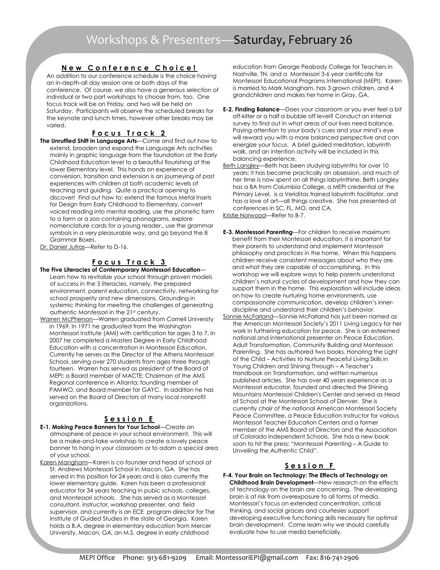#### New Conference Choice!

An addition to our conference schedule is the choice having an in-depth-all day session one or both days of the conference. Of course, we also have a generous selection of individual or two part workshops to choose from, too. One focus track will be on Friday, and two will be held on Saturday. Participants will observe the scheduled breaks for the keynote and lunch times, however other breaks may be varied.

#### Focus Track 2

- The Unruffled Shift in Language Arts—Come and find out how to extend, broaden and expand the Language Arts activities mainly in graphic language from the foundation at the Early Childhood Education level to a beautiful flourishing at the lower Elementary level. This hands on experience of conversion, transition and extension is an journeying of past experiences with children at both academic levels of teaching and guiding. Quite a practical opening to discover! Find out how to: extend the famous Metal Insets for Design from Early Childhood to Elementary, convert voiced reading into mental reading, use the phonetic farm to a farm or a zoo containing phonograms, explore nomenclature cards for a young reader., use the grammar symbols in a very pleasurable way, and go beyond the 8 Grammar Boxes.
- Dr. Daniel Jutras—Refer to D-16.

#### <u>Focus Track 3</u>

- The Five Literacies of Contemporary Montessori Education— Learn how to revitalize your school through proven models of success in the 5 literacies, namely, the prepared environment, parent education, connectivity, networking for school prosperity and new dimensions. Grounding in systemic thinking for meeting the challenges of generating authentic Montessori in the 21st century.
- Warren McPherson—Warren graduated from Cornell University in 1969. In 1971 he graduated from the Washington Montessori Institute (AMI) with certification for ages 3 to 7. In 2007 he completed a Masters Degree in Early Childhood Education with a concentration in Montessori Education. Currently he serves as the Director of the Athens Montessori School, serving over 270 students from ages three through fourteen. Warren has served as president of the Board of MEPI; a Board member of MACTE; Chairman of the AMS Regional conference in Atlanta; founding member of PAMWO, and Board member for GAYC. In addition he has served on the Board of Directors of many local nonprofit organizations.

#### Session E

- E-1. Making Peace Banners for Your School—Create an atmosphere of peace in your school environment. This will be a make-and-take workshop to create a lovely peace banner to hang in your classroom or to adorn a special area of your school.
- Karen Mangham—Karen is co-founder and head of school at St. Andrews Montessori School in Macon, GA. She has served in this position for 24 years and is also currently the lower elementary guide. Karen has been a professional educator for 34 years teaching in pubic schools, colleges, and Montessori schools. She has served as a Montessori consultant, instructor, workshop presenter, and field supervisor, and currently is an ECE program director for The Institute of Guided Studies in the state of Georgia. Karen holds a B.A. degree in elementary education from Mercer University, Macon, GA, an M.S. degree in early childhood

education from George Peabody College for Teachers in Nashville, TN, and a Montessori 3-6 year certificate for Montessori Educational Programs International (MEPI). Karen is married to Mark Mangham, has 3 grown children, and 4 grandchildren and makes her home in Gray, GA.

- E-2. Finding Balance—Does your classroom or you ever feel a bit off-kilter or a half a bubble off level? Conduct an internal survey to find out in what areas of our lives need balance. Paying attention to your body's cues and your mind's eye will reward you with a more balanced perspective and can energize your focus. A brief guided meditation, labyrinth walk, and an intention activity will be included in this balancing experience.
- Beth Langley-Beth has been studying labyrinths for over 10 years; it has became practically an obsession, and much of her time is now spent on all things labyrinthine. Beth Langley has a BA from Columbia College, a MEPI credential at the Primary Level, is a Veriditas trained labyrinth facilitator, and has a love of art—all things creative. She has presented at conferences in SC, FL, MO, and CA.

Kristie Norwood—Refer to B-7.

- E-3. Montessori Parenting—For children to receive maximum benefit from their Montessori education, it is important for their parents to understand and implement Montessori philosophy and practices in the home. When this happens children receive consistent messages about who they are and what they are capable of accomplishing. In this workshop we will explore ways to help parents understand children's natural cycles of development and how they can support them in the home. This exploration will include ideas on how to create nurturing home environments, use compassionate communication, develop children's innerdiscipline and understand their children's behavior.
- Sonnie McFarland—Sonnie McFarland has just been named as the American Montessori Society's 2011 Living Legacy for her work in furthering education for peace. She is an esteemed national and international presenter on Peace Education, Adult Transformation, Community Building and Montessori Parenting. She has authored two books, Honoring the Light of the Child – Activities to Nurture Peaceful Living Skills in Young Children and Shining Through – A Teacher's Handbook on Transformation, and written numerous published articles. She has over 40 years experience as a Montessori educator, founded and directed the Shining Mountains Montessori Children's Center and served as Head of School at the Montessori School of Denver. She is currently chair of the national American Montessori Society Peace Committee, a Peace Education Instructor for various Montessori Teacher Education Centers and a former member of the AMS Board of Directors and the Association of Colorado Independent Schools. She has a new book soon to hit the press: "Montessori Parenting – A Guide to Unveiling the Authentic Child".

#### Session F

F-4. Your Brain on Technology: The Effects of Technology on Childhood Brain Development—New research on the effects of technology on the brain are concerning. The developing brain is at risk from overexposure to all forms of media. Montessori's focus on extended concentration, critical thinking, and social graces and courtesies support developing executive functioning skills necessary for optimal brain development. Come learn why we should carefully evaluate how to use media beneficially.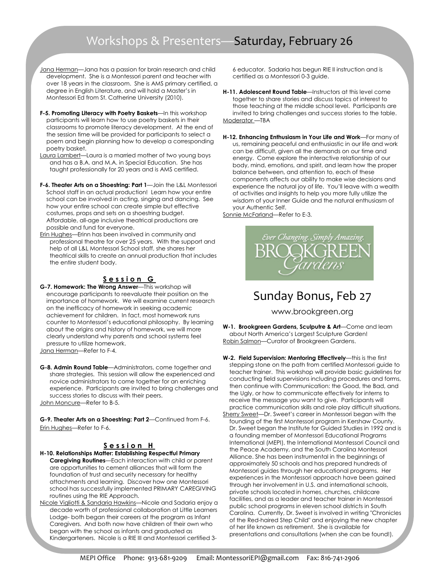### Workshops & Presenters—Saturday, February 26

- Jana Herman—Jana has a passion for brain research and child development. She is a Montessori parent and teacher with over 18 years in the classroom. She is AMS primary certified, a degree in English Literature, and will hold a Master's in Montessori Ed from St. Catherine University (2010).
- F-5. Promoting Literacy with Poetry Baskets-In this workshop participants will learn how to use poetry baskets in their classrooms to promote literacy development. At the end of the session time will be provided for participants to select a poem and begin planning how to develop a corresponding poetry basket.
- Laura Lambert—Laura is a married mother of two young boys and has a B.A. and M.A. in Special Education. She has taught professionally for 20 years and is AMS certified.
- F-6. Theater Arts on a Shoestring: Part 1-Join the L&L Montessori School staff in an actual production! Learn how your entire school can be involved in acting, singing and dancing. See how your entire school can create simple but effective costumes, props and sets on a shoestring budget. Affordable, all-age inclusive theatrical productions are possible and fund for everyone.
- Erin Hughes—Erinn has been involved in community and professional theatre for over 25 years. With the support and help of all L&L Montessori School staff, she shares her theatrical skills to create an annual production that includes the entire student body.

#### Session G

- G-7. Homework: The Wrong Answer—This workshop will encourage participants to reevaluate their position on the importance of homework. We will examine current research on the inefficacy of homework in seeking academic achievement for children. In fact, most homework runs counter to Montessori's educational philosophy. By learning about the origins and history of homework, we will more clearly understand why parents and school systems feel pressure to utilize homework.
- Jana Herman—Refer to F-4.
- G-8. Admin Round Table—Administrators, come together and share strategies. This session will allow the experienced and novice administrators to come together for an enriching experience. Participants are invited to bring challenges and success stories to discuss with their peers. John Moncure—Refer to B-5.

G-9. Theater Arts on a Shoestring: Part 2—Continued from F-6. Erin Hughes—Refer to F-6.

#### Session H

- H-10. Relationships Matter: Establishing Respectful Primary Caregiving Routines—Each interaction with child or parent are opportunities to cement alliances that will form the foundation of trust and security necessary for healthy attachments and learning. Discover how one Montessori school has successfully implemented PRIMARY CAREGIVING routines using the RIE Approach.
- Nicole Vigliotti & Sandaria Hawkins—Nicole and Sadaria enjoy a decade worth of professional collaboration at Little Learners Lodge- both began their careers at the program as Infant Caregivers. And both now have children of their own who began with the school as infants and graduated as Kindergarteners. Nicole is a RIE III and Montessori certified 3-

6 educator. Sadaria has begun RIE II instruction and is certified as a Montessori 0-3 guide.

- H-11. Adolescent Round Table—Instructors at this level come together to share stories and discuss topics of interest to those teaching at the middle school level. Participants are invited to bring challenges and success stories to the table. Moderator —TBA
- H-12. Enhancing Enthusiasm in Your Life and Work—For many of us, remaining peaceful and enthusiastic in our life and work can be difficult, given all the demands on our time and energy. Come explore the interactive relationship of our body, mind, emotions, and spirit, and learn how the proper balance between, and attention to, each of these components affects our ability to make wise decisions and experience the natural joy of life. You'll leave with a wealth of activities and insights to help you more fully utilize the wisdom of your Inner Guide and the natural enthusiasm of your Authentic Self.

Sonnie McFarland—Refer to E-3.



### Sunday Bonus, Feb 27

www.brookgreen.org

W-1. Brookgreen Gardens, Sculputre & Art-Come and learn about North America's Largest Sculpture Garden! Robin Salmon-Curator of Brookgreen Gardens.

- W-2. Field Supervision: Mentoring Effectively—this is the first stepping stone on the path from certified Montessori guide to teacher trainer. This workshop will provide basic guidelines for conducting field supervisions including procedures and forms, then continue with Communication: the Good, the Bad, and the Ugly, or how to communicate effectively for interns to receive the message you want to give. Participants will practice communication skills and role play difficult situations. Sherry Sweet—Dr. Sweet's career in Montessori began with the
- founding of the first Montessori program in Kershaw County. Dr. Sweet began the Institute for Guided Studies in 1992 and is a founding member of Montessori Educational Programs International (MEPI), the International Montessori Council and the Peace Academy, and the South Carolina Montessori Alliance. She has been instrumental in the beginnings of approximately 50 schools and has prepared hundreds of Montessori guides through her educational programs. Her experiences in the Montessori approach have been gained through her involvement in U.S. and international schools, private schools located in homes, churches, childcare facilities, and as a leader and teacher trainer in Montessori public school programs in eleven school districts in South Carolina. Currently, Dr. Sweet is involved in writing "Chronicles of the Red-haired Step Child" and enjoying the new chapter of her life known as retirement. She is available for presentations and consultations (when she can be found!).